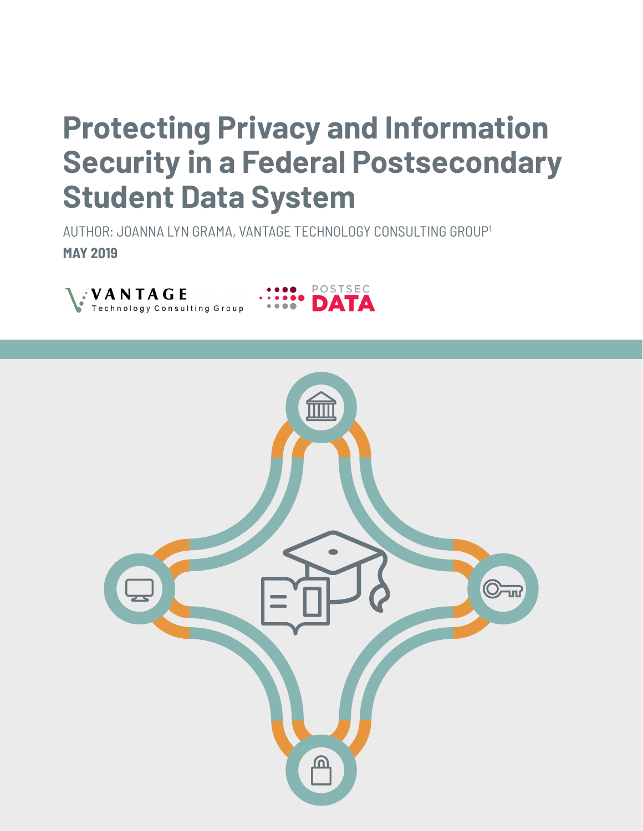# **Protecting Privacy and Information Security in a Federal Postsecondary Student Data System**

AUTHOR: JOANNA LYN GRAMA, VANTAGE TECHNOLOGY CONSULTING GROUP1 **MAY 2019**





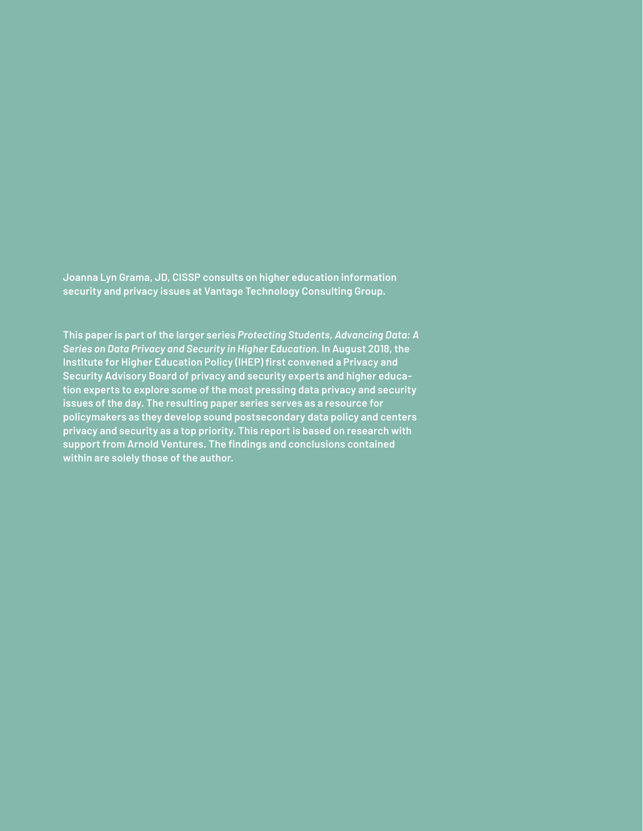**Joanna Lyn Grama, JD, CISSP consults on higher education information security and privacy issues at Vantage Technology Consulting Group.**

**This paper is part of the larger series** *Protecting Students, Advancing Data: A Series on Data Privacy and Security in Higher Education***. In August 2018, the Institute for Higher Education Policy (IHEP) first convened a Privacy and Security Advisory Board of privacy and security experts and higher education experts to explore some of the most pressing data privacy and security issues of the day. The resulting paper series serves as a resource for policymakers as they develop sound postsecondary data policy and centers privacy and security as a top priority. This report is based on research with support from Arnold Ventures. The findings and conclusions contained within are solely those of the author.**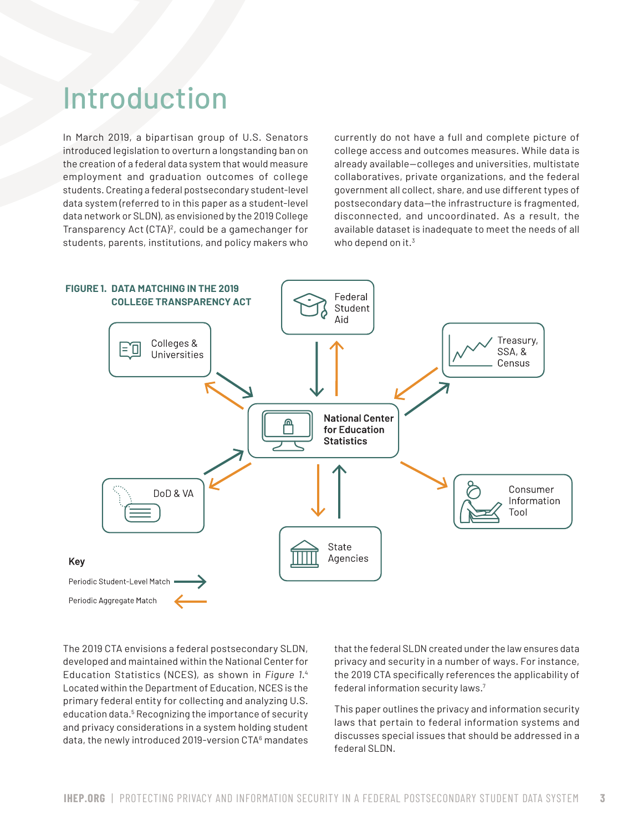### Introduction

In March 2019, a bipartisan group of U.S. Senators introduced legislation to overturn a longstanding ban on the creation of a federal data system that would measure employment and graduation outcomes of college students. Creating a federal postsecondary student-level data system (referred to in this paper as a student-level data network or SLDN), as envisioned by the 2019 College Transparency Act (CTA)<sup>2</sup>, could be a gamechanger for students, parents, institutions, and policy makers who currently do not have a full and complete picture of college access and outcomes measures. While data is already available—colleges and universities, multistate collaboratives, private organizations, and the federal government all collect, share, and use different types of postsecondary data—the infrastructure is fragmented, disconnected, and uncoordinated. As a result, the available dataset is inadequate to meet the needs of all who depend on it.<sup>3</sup>



The 2019 CTA envisions a federal postsecondary SLDN, developed and maintained within the National Center for Education Statistics (NCES), as shown in *Figure 1*. 4 Located within the Department of Education, NCES is the primary federal entity for collecting and analyzing U.S. education data.<sup>5</sup> Recognizing the importance of security and privacy considerations in a system holding student data, the newly introduced 2019-version CTA<sup>6</sup> mandates that the federal SLDN created under the law ensures data privacy and security in a number of ways. For instance, the 2019 CTA specifically references the applicability of federal information security laws.7

This paper outlines the privacy and information security laws that pertain to federal information systems and discusses special issues that should be addressed in a federal SLDN.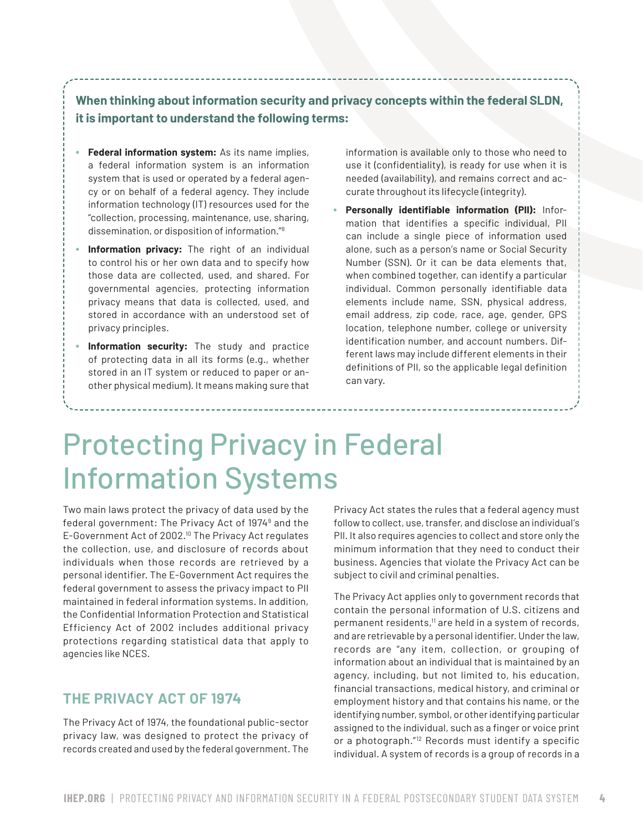**When thinking about information security and privacy concepts within the federal SLDN, it is important to understand the following terms:**

- **Federal information system:** As its name implies, a federal information system is an information system that is used or operated by a federal agency or on behalf of a federal agency. They include information technology (IT) resources used for the "collection, processing, maintenance, use, sharing, dissemination, or disposition of information."8
- **Information privacy:** The right of an individual to control his or her own data and to specify how those data are collected, used, and shared. For governmental agencies, protecting information privacy means that data is collected, used, and stored in accordance with an understood set of privacy principles.
- **Information security:** The study and practice of protecting data in all its forms (e.g., whether stored in an IT system or reduced to paper or another physical medium). It means making sure that

information is available only to those who need to use it (confidentiality), is ready for use when it is needed (availability), and remains correct and accurate throughout its lifecycle (integrity).

• **Personally identifiable information (PII):** Information that identifies a specific individual, PII can include a single piece of information used alone, such as a person's name or Social Security Number (SSN). Or it can be data elements that, when combined together, can identify a particular individual. Common personally identifiable data elements include name, SSN, physical address, email address, zip code, race, age, gender, GPS location, telephone number, college or university identification number, and account numbers. Different laws may include different elements in their definitions of PII, so the applicable legal definition can vary.

### Protecting Privacy in Federal Information Systems

Two main laws protect the privacy of data used by the federal government: The Privacy Act of 1974<sup>9</sup> and the E-Government Act of 2002.10 The Privacy Act regulates the collection, use, and disclosure of records about individuals when those records are retrieved by a personal identifier. The E-Government Act requires the federal government to assess the privacy impact to PII maintained in federal information systems. In addition, the Confidential Information Protection and Statistical Efficiency Act of 2002 includes additional privacy protections regarding statistical data that apply to agencies like NCES.

#### **THE PRIVACY ACT OF 1974**

The Privacy Act of 1974, the foundational public-sector privacy law, was designed to protect the privacy of records created and used by the federal government. The

Privacy Act states the rules that a federal agency must follow to collect, use, transfer, and disclose an individual's PII. It also requires agencies to collect and store only the minimum information that they need to conduct their business. Agencies that violate the Privacy Act can be subject to civil and criminal penalties.

The Privacy Act applies only to government records that contain the personal information of U.S. citizens and permanent residents,<sup>11</sup> are held in a system of records, and are retrievable by a personal identifier. Under the law, records are "any item, collection, or grouping of information about an individual that is maintained by an agency, including, but not limited to, his education, financial transactions, medical history, and criminal or employment history and that contains his name, or the identifying number, symbol, or other identifying particular assigned to the individual, such as a finger or voice print or a photograph."12 Records must identify a specific individual. A system of records is a group of records in a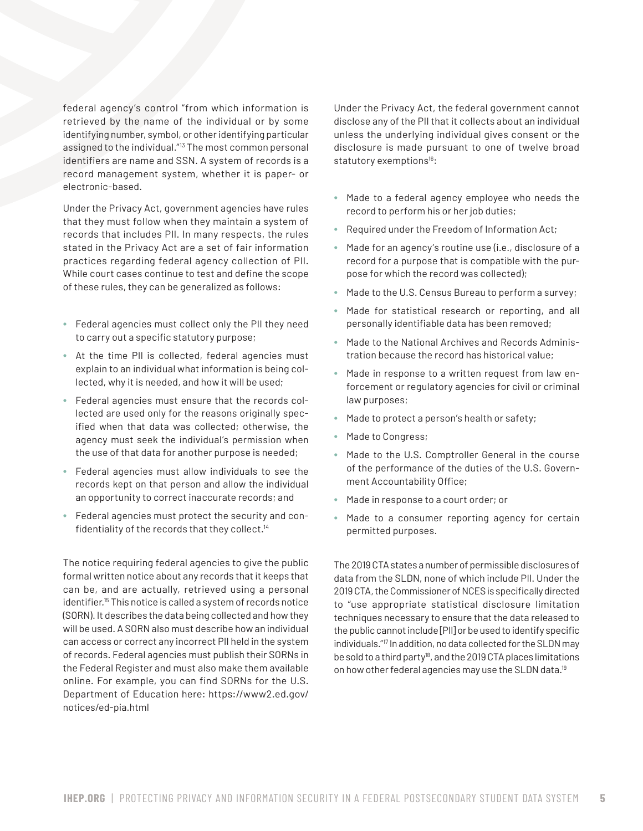federal agency's control "from which information is retrieved by the name of the individual or by some identifying number, symbol, or other identifying particular assigned to the individual."13 The most common personal identifiers are name and SSN. A system of records is a record management system, whether it is paper- or electronic-based.

Under the Privacy Act, government agencies have rules that they must follow when they maintain a system of records that includes PII. In many respects, the rules stated in the Privacy Act are a set of fair information practices regarding federal agency collection of PII. While court cases continue to test and define the scope of these rules, they can be generalized as follows:

- Federal agencies must collect only the PII they need to carry out a specific statutory purpose;
- At the time PII is collected, federal agencies must explain to an individual what information is being collected, why it is needed, and how it will be used;
- Federal agencies must ensure that the records collected are used only for the reasons originally specified when that data was collected; otherwise, the agency must seek the individual's permission when the use of that data for another purpose is needed;
- Federal agencies must allow individuals to see the records kept on that person and allow the individual an opportunity to correct inaccurate records; and
- Federal agencies must protect the security and confidentiality of the records that they collect.<sup>14</sup>

The notice requiring federal agencies to give the public formal written notice about any records that it keeps that can be, and are actually, retrieved using a personal identifier*.* 15 This notice is called a system of records notice (SORN). It describes the data being collected and how they will be used. A SORN also must describe how an individual can access or correct any incorrect PII held in the system of records. Federal agencies must publish their SORNs in the Federal Register and must also make them available online. For example, you can find SORNs for the U.S. Department of Education here: https://www2.ed.gov/ notices/ed-pia.html

Under the Privacy Act, the federal government cannot disclose any of the PII that it collects about an individual unless the underlying individual gives consent or the disclosure is made pursuant to one of twelve broad statutory exemptions<sup>16</sup>:

- Made to a federal agency employee who needs the record to perform his or her job duties;
- Required under the Freedom of Information Act;
- Made for an agency's routine use (i.e., disclosure of a record for a purpose that is compatible with the purpose for which the record was collected);
- Made to the U.S. Census Bureau to perform a survey;
- Made for statistical research or reporting, and all personally identifiable data has been removed;
- Made to the National Archives and Records Administration because the record has historical value;
- Made in response to a written request from law enforcement or regulatory agencies for civil or criminal law purposes;
- Made to protect a person's health or safety;
- Made to Congress;
- Made to the U.S. Comptroller General in the course of the performance of the duties of the U.S. Government Accountability Office;
- Made in response to a court order; or
- Made to a consumer reporting agency for certain permitted purposes.

The 2019 CTA states a number of permissible disclosures of data from the SLDN, none of which include PII. Under the 2019 CTA, the Commissioner of NCES is specifically directed to "use appropriate statistical disclosure limitation techniques necessary to ensure that the data released to the public cannot include [PII] or be used to identify specific individuals."17 In addition, no data collected for the SLDN may be sold to a third party<sup>18</sup>, and the 2019 CTA places limitations on how other federal agencies may use the SLDN data.<sup>19</sup>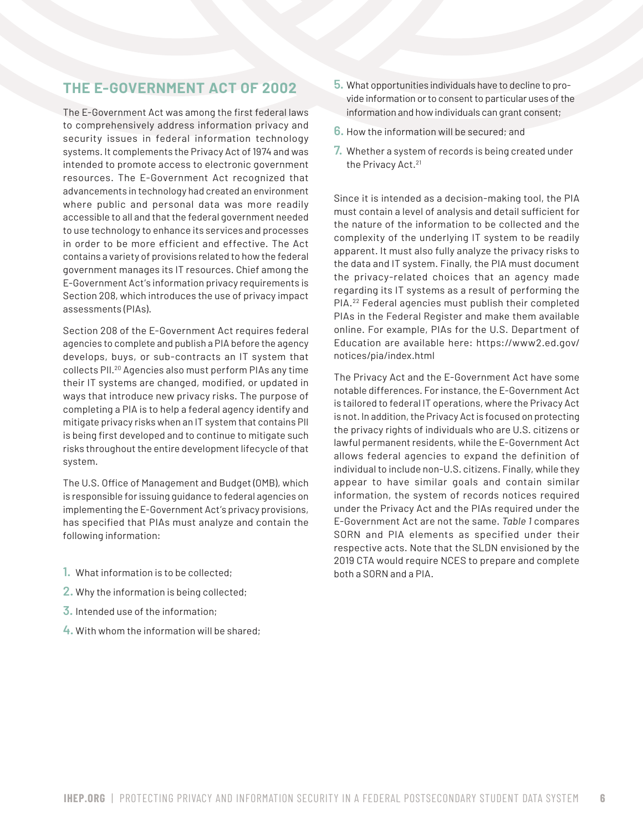#### **THE E-GOVERNMENT ACT OF 2002**

The E-Government Act was among the first federal laws to comprehensively address information privacy and security issues in federal information technology systems. It complements the Privacy Act of 1974 and was intended to promote access to electronic government resources. The E-Government Act recognized that advancements in technology had created an environment where public and personal data was more readily accessible to all and that the federal government needed to use technology to enhance its services and processes in order to be more efficient and effective. The Act contains a variety of provisions related to how the federal government manages its IT resources. Chief among the E-Government Act's information privacy requirements is Section 208, which introduces the use of privacy impact assessments (PIAs).

Section 208 of the E-Government Act requires federal agencies to complete and publish a PIA before the agency develops, buys, or sub-contracts an IT system that collects PII.20 Agencies also must perform PIAs any time their IT systems are changed, modified, or updated in ways that introduce new privacy risks. The purpose of completing a PIA is to help a federal agency identify and mitigate privacy risks when an IT system that contains PII is being first developed and to continue to mitigate such risks throughout the entire development lifecycle of that system.

The U.S. Office of Management and Budget (OMB), which is responsible for issuing guidance to federal agencies on implementing the E-Government Act's privacy provisions, has specified that PIAs must analyze and contain the following information:

- **1.** What information is to be collected;
- **2.** Why the information is being collected;
- **3.** Intended use of the information;
- **4.** With whom the information will be shared;
- **5.** What opportunities individuals have to decline to provide information or to consent to particular uses of the information and how individuals can grant consent;
- **6.** How the information will be secured; and
- **7.** Whether a system of records is being created under the Privacy Act.<sup>21</sup>

Since it is intended as a decision-making tool, the PIA must contain a level of analysis and detail sufficient for the nature of the information to be collected and the complexity of the underlying IT system to be readily apparent. It must also fully analyze the privacy risks to the data and IT system. Finally, the PIA must document the privacy-related choices that an agency made regarding its IT systems as a result of performing the PIA.22 Federal agencies must publish their completed PIAs in the Federal Register and make them available online. For example, PIAs for the U.S. Department of Education are available here: https://www2.ed.gov/ notices/pia/index.html

The Privacy Act and the E-Government Act have some notable differences. For instance, the E-Government Act is tailored to federal IT operations, where the Privacy Act is not. In addition, the Privacy Act is focused on protecting the privacy rights of individuals who are U.S. citizens or lawful permanent residents, while the E-Government Act allows federal agencies to expand the definition of individual to include non-U.S. citizens. Finally, while they appear to have similar goals and contain similar information, the system of records notices required under the Privacy Act and the PIAs required under the E-Government Act are not the same. *Table 1* compares SORN and PIA elements as specified under their respective acts. Note that the SLDN envisioned by the 2019 CTA would require NCES to prepare and complete both a SORN and a PIA.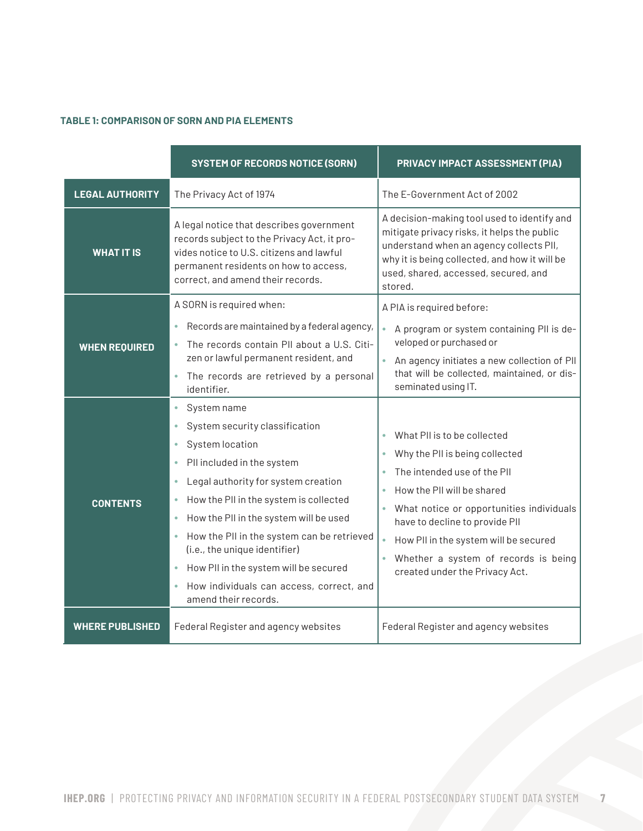#### **TABLE 1: COMPARISON OF SORN AND PIA ELEMENTS**

|                        | <b>SYSTEM OF RECORDS NOTICE (SORN)</b>                                                                                                                                                                                                                                                                                                                                                                                                                                             | PRIVACY IMPACT ASSESSMENT (PIA)                                                                                                                                                                                                                                                                                                                                      |
|------------------------|------------------------------------------------------------------------------------------------------------------------------------------------------------------------------------------------------------------------------------------------------------------------------------------------------------------------------------------------------------------------------------------------------------------------------------------------------------------------------------|----------------------------------------------------------------------------------------------------------------------------------------------------------------------------------------------------------------------------------------------------------------------------------------------------------------------------------------------------------------------|
| <b>LEGAL AUTHORITY</b> | The Privacy Act of 1974                                                                                                                                                                                                                                                                                                                                                                                                                                                            | The E-Government Act of 2002                                                                                                                                                                                                                                                                                                                                         |
| <b>WHAT IT IS</b>      | A legal notice that describes government<br>records subject to the Privacy Act, it pro-<br>vides notice to U.S. citizens and lawful<br>permanent residents on how to access,<br>correct, and amend their records.                                                                                                                                                                                                                                                                  | A decision-making tool used to identify and<br>mitigate privacy risks, it helps the public<br>understand when an agency collects PII,<br>why it is being collected, and how it will be<br>used, shared, accessed, secured, and<br>stored.                                                                                                                            |
| <b>WHEN REQUIRED</b>   | A SORN is required when:<br>Records are maintained by a federal agency,<br>۰<br>The records contain PII about a U.S. Citi-<br>$\bullet$<br>zen or lawful permanent resident, and<br>The records are retrieved by a personal<br>identifier.                                                                                                                                                                                                                                         | A PIA is required before:<br>$\bullet$<br>A program or system containing PII is de-<br>veloped or purchased or<br>An agency initiates a new collection of PII<br>$\bullet$<br>that will be collected, maintained, or dis-<br>seminated using IT.                                                                                                                     |
| <b>CONTENTS</b>        | System name<br>$\bullet$<br>System security classification<br>System location<br>۰<br>PII included in the system<br>۰<br>Legal authority for system creation<br>۰<br>How the PII in the system is collected<br>۰<br>How the PII in the system will be used<br>۰<br>How the PII in the system can be retrieved<br>۰<br>(i.e., the unique identifier)<br>How PII in the system will be secured<br>$\bullet$<br>How individuals can access, correct, and<br>۰<br>amend their records. | What PII is to be collected<br>$\bullet$<br>Why the PII is being collected<br>۰<br>The intended use of the PII<br>۰<br>How the PII will be shared<br>۰<br>What notice or opportunities individuals<br>have to decline to provide PII<br>How PII in the system will be secured<br>$\bullet$<br>Whether a system of records is being<br>created under the Privacy Act. |
| <b>WHERE PUBLISHED</b> | Federal Register and agency websites                                                                                                                                                                                                                                                                                                                                                                                                                                               | Federal Register and agency websites                                                                                                                                                                                                                                                                                                                                 |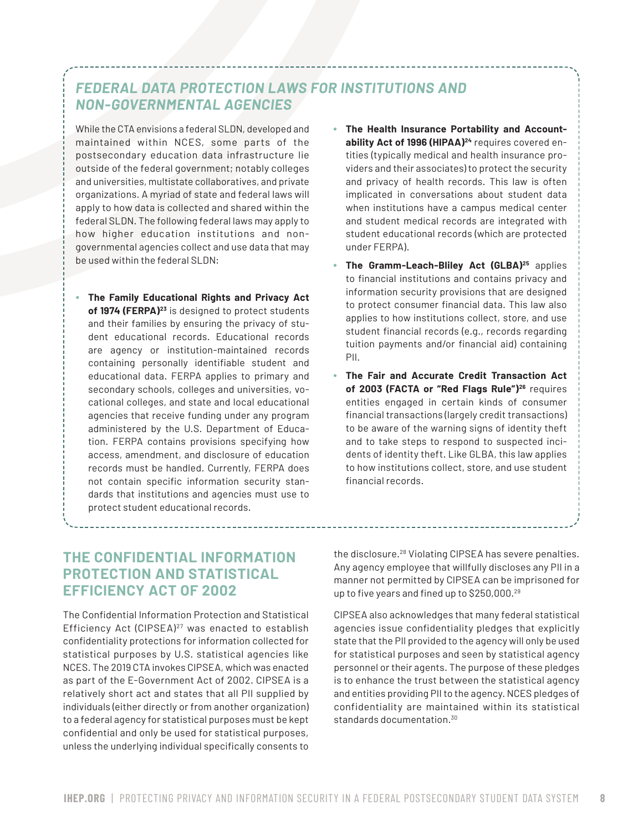### *FEDERAL DATA PROTECTION LAWS FOR INSTITUTIONS AND NON-GOVERNMENTAL AGENCIES*

While the CTA envisions a federal SLDN, developed and maintained within NCES, some parts of the postsecondary education data infrastructure lie outside of the federal government; notably colleges and universities, multistate collaboratives, and private organizations. A myriad of state and federal laws will apply to how data is collected and shared within the federal SLDN. The following federal laws may apply to how higher education institutions and nongovernmental agencies collect and use data that may be used within the federal SLDN:

- **The Family Educational Rights and Privacy Act of 1974 (FERPA)23** is designed to protect students and their families by ensuring the privacy of student educational records. Educational records are agency or institution-maintained records containing personally identifiable student and educational data. FERPA applies to primary and secondary schools, colleges and universities, vocational colleges, and state and local educational agencies that receive funding under any program administered by the U.S. Department of Education. FERPA contains provisions specifying how access, amendment, and disclosure of education records must be handled. Currently, FERPA does not contain specific information security standards that institutions and agencies must use to protect student educational records.
- **The Health Insurance Portability and Accountability Act of 1996 (HIPAA)24** requires covered entities (typically medical and health insurance providers and their associates) to protect the security and privacy of health records. This law is often implicated in conversations about student data when institutions have a campus medical center and student medical records are integrated with student educational records (which are protected under FERPA).
- **The Gramm-Leach-Bliley Act (GLBA)25** applies to financial institutions and contains privacy and information security provisions that are designed to protect consumer financial data. This law also applies to how institutions collect, store, and use student financial records (e.g., records regarding tuition payments and/or financial aid) containing PII.
- **The Fair and Accurate Credit Transaction Act of 2003 (FACTA or "Red Flags Rule")26** requires entities engaged in certain kinds of consumer financial transactions (largely credit transactions) to be aware of the warning signs of identity theft and to take steps to respond to suspected incidents of identity theft. Like GLBA, this law applies to how institutions collect, store, and use student financial records.

#### **THE CONFIDENTIAL INFORMATION PROTECTION AND STATISTICAL EFFICIENCY ACT OF 2002**

The Confidential Information Protection and Statistical Efficiency Act (CIPSEA)27 was enacted to establish confidentiality protections for information collected for statistical purposes by U.S. statistical agencies like NCES. The 2019 CTA invokes CIPSEA, which was enacted as part of the E-Government Act of 2002. CIPSEA is a relatively short act and states that all PII supplied by individuals (either directly or from another organization) to a federal agency for statistical purposes must be kept confidential and only be used for statistical purposes, unless the underlying individual specifically consents to

the disclosure.28 Violating CIPSEA has severe penalties. Any agency employee that willfully discloses any PII in a manner not permitted by CIPSEA can be imprisoned for up to five years and fined up to \$250,000.<sup>29</sup>

CIPSEA also acknowledges that many federal statistical agencies issue confidentiality pledges that explicitly state that the PII provided to the agency will only be used for statistical purposes and seen by statistical agency personnel or their agents. The purpose of these pledges is to enhance the trust between the statistical agency and entities providing PII to the agency. NCES pledges of confidentiality are maintained within its statistical standards documentation.<sup>30</sup>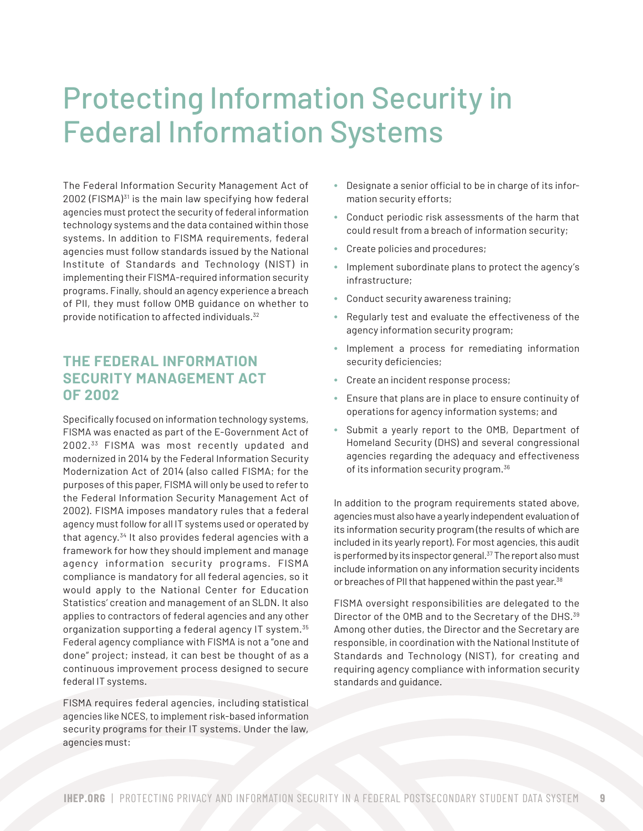## Protecting Information Security in Federal Information Systems

The Federal Information Security Management Act of 2002 (FISMA)<sup>31</sup> is the main law specifying how federal agencies must protect the security of federal information technology systems and the data contained within those systems. In addition to FISMA requirements, federal agencies must follow standards issued by the National Institute of Standards and Technology (NIST) in implementing their FISMA-required information security programs. Finally, should an agency experience a breach of PII, they must follow OMB guidance on whether to provide notification to affected individuals.<sup>32</sup>

#### **THE FEDERAL INFORMATION SECURITY MANAGEMENT ACT OF 2002**

Specifically focused on information technology systems, FISMA was enacted as part of the E-Government Act of 2002.33 FISMA was most recently updated and modernized in 2014 by the Federal Information Security Modernization Act of 2014 (also called FISMA; for the purposes of this paper, FISMA will only be used to refer to the Federal Information Security Management Act of 2002). FISMA imposes mandatory rules that a federal agency must follow for all IT systems used or operated by that agency.<sup>34</sup> It also provides federal agencies with a framework for how they should implement and manage agency information security programs. FISMA compliance is mandatory for all federal agencies, so it would apply to the National Center for Education Statistics' creation and management of an SLDN. It also applies to contractors of federal agencies and any other organization supporting a federal agency IT system.<sup>35</sup> Federal agency compliance with FISMA is not a "one and done" project; instead, it can best be thought of as a continuous improvement process designed to secure federal IT systems.

FISMA requires federal agencies, including statistical agencies like NCES, to implement risk-based information security programs for their IT systems. Under the law, agencies must:

- Designate a senior official to be in charge of its information security efforts;
- Conduct periodic risk assessments of the harm that could result from a breach of information security;
- Create policies and procedures;
- Implement subordinate plans to protect the agency's infrastructure;
- Conduct security awareness training;
- Regularly test and evaluate the effectiveness of the agency information security program;
- Implement a process for remediating information security deficiencies;
- Create an incident response process;
- Ensure that plans are in place to ensure continuity of operations for agency information systems; and
- Submit a yearly report to the OMB, Department of Homeland Security (DHS) and several congressional agencies regarding the adequacy and effectiveness of its information security program.<sup>36</sup>

In addition to the program requirements stated above, agencies must also have a yearly independent evaluation of its information security program (the results of which are included in its yearly report). For most agencies, this audit is performed by its inspector general. $37$  The report also must include information on any information security incidents or breaches of PII that happened within the past year.<sup>38</sup>

FISMA oversight responsibilities are delegated to the Director of the OMB and to the Secretary of the DHS.<sup>39</sup> Among other duties, the Director and the Secretary are responsible, in coordination with the National Institute of Standards and Technology (NIST), for creating and requiring agency compliance with information security standards and guidance.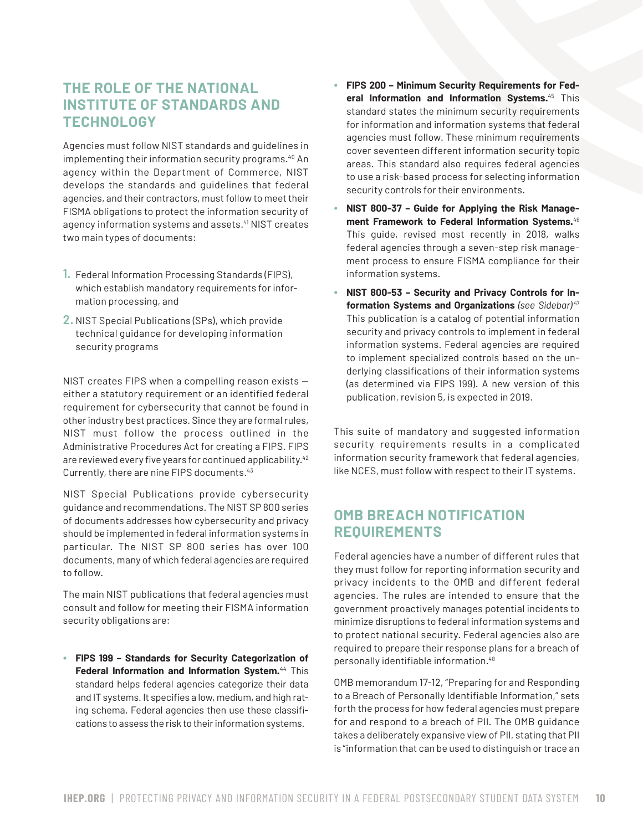#### **THE ROLE OF THE NATIONAL INSTITUTE OF STANDARDS AND TECHNOLOGY**

Agencies must follow NIST standards and guidelines in implementing their information security programs.<sup>40</sup> An agency within the Department of Commerce, NIST develops the standards and guidelines that federal agencies, and their contractors, must follow to meet their FISMA obligations to protect the information security of agency information systems and assets.<sup>41</sup> NIST creates two main types of documents:

- **1.** Federal Information Processing Standards (FIPS), which establish mandatory requirements for information processing, and
- **2.** NIST Special Publications (SPs), which provide technical guidance for developing information security programs

NIST creates FIPS when a compelling reason exists either a statutory requirement or an identified federal requirement for cybersecurity that cannot be found in other industry best practices. Since they are formal rules, NIST must follow the process outlined in the Administrative Procedures Act for creating a FIPS. FIPS are reviewed every five years for continued applicability.<sup>42</sup> Currently, there are nine FIPS documents.43

NIST Special Publications provide cybersecurity guidance and recommendations. The NIST SP 800 series of documents addresses how cybersecurity and privacy should be implemented in federal information systems in particular. The NIST SP 800 series has over 100 documents, many of which federal agencies are required to follow.

The main NIST publications that federal agencies must consult and follow for meeting their FISMA information security obligations are:

• **FIPS 199 – Standards for Security Categorization of Federal Information and Information System.**44 This standard helps federal agencies categorize their data and IT systems. It specifies a low, medium, and high rating schema. Federal agencies then use these classifications to assess the risk to their information systems.

- **FIPS 200 Minimum Security Requirements for Federal Information and Information Systems.**45 This standard states the minimum security requirements for information and information systems that federal agencies must follow. These minimum requirements cover seventeen different information security topic areas. This standard also requires federal agencies to use a risk-based process for selecting information security controls for their environments.
- **NIST 800-37 Guide for Applying the Risk Management Framework to Federal Information Systems.**<sup>46</sup> This guide, revised most recently in 2018, walks federal agencies through a seven-step risk management process to ensure FISMA compliance for their information systems.
- **NIST 800-53 Security and Privacy Controls for Information Systems and Organizations** *(see Sidebar)*.47 This publication is a catalog of potential information security and privacy controls to implement in federal information systems. Federal agencies are required to implement specialized controls based on the underlying classifications of their information systems (as determined via FIPS 199). A new version of this publication, revision 5, is expected in 2019.

This suite of mandatory and suggested information security requirements results in a complicated information security framework that federal agencies, like NCES, must follow with respect to their IT systems.

### **OMB BREACH NOTIFICATION REQUIREMENTS**

Federal agencies have a number of different rules that they must follow for reporting information security and privacy incidents to the OMB and different federal agencies. The rules are intended to ensure that the government proactively manages potential incidents to minimize disruptions to federal information systems and to protect national security. Federal agencies also are required to prepare their response plans for a breach of personally identifiable information.<sup>48</sup>

OMB memorandum 17-12, "Preparing for and Responding to a Breach of Personally Identifiable Information," sets forth the process for how federal agencies must prepare for and respond to a breach of PII. The OMB guidance takes a deliberately expansive view of PII, stating that PII is "information that can be used to distinguish or trace an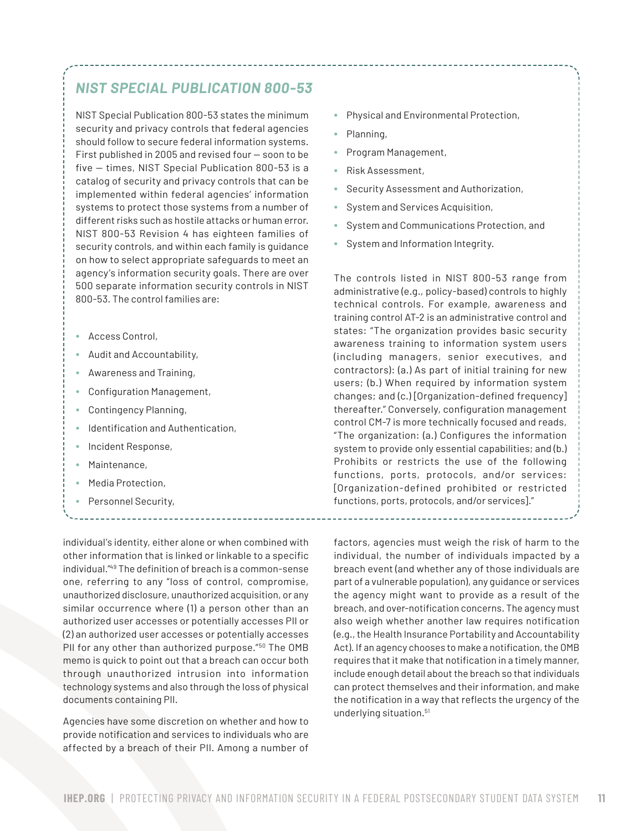#### *NIST SPECIAL PUBLICATION 800-53*

NIST Special Publication 800-53 states the minimum security and privacy controls that federal agencies should follow to secure federal information systems. First published in 2005 and revised four — soon to be five — times, NIST Special Publication 800-53 is a catalog of security and privacy controls that can be implemented within federal agencies' information systems to protect those systems from a number of different risks such as hostile attacks or human error. NIST 800-53 Revision 4 has eighteen families of security controls, and within each family is guidance on how to select appropriate safeguards to meet an agency's information security goals. There are over 500 separate information security controls in NIST 800-53. The control families are:

- Access Control,
- Audit and Accountability,
- Awareness and Training,
- Configuration Management,
- Contingency Planning,
- Identification and Authentication,
- Incident Response,
- Maintenance,
- Media Protection,
- Personnel Security,

individual's identity, either alone or when combined with other information that is linked or linkable to a specific individual."49 The definition of breach is a common-sense one, referring to any "loss of control, compromise, unauthorized disclosure, unauthorized acquisition, or any similar occurrence where (1) a person other than an authorized user accesses or potentially accesses PII or (2) an authorized user accesses or potentially accesses PII for any other than authorized purpose."<sup>50</sup> The OMB memo is quick to point out that a breach can occur both through unauthorized intrusion into information technology systems and also through the loss of physical documents containing PII.

Agencies have some discretion on whether and how to provide notification and services to individuals who are affected by a breach of their PII. Among a number of

- Physical and Environmental Protection,
- Planning,
- Program Management,
- Risk Assessment,
- Security Assessment and Authorization,
- System and Services Acquisition,
- System and Communications Protection, and
- System and Information Integrity.

The controls listed in NIST 800-53 range from administrative (e.g., policy-based) controls to highly technical controls. For example, awareness and training control AT-2 is an administrative control and states: "The organization provides basic security awareness training to information system users (including managers, senior executives, and contractors): (a.) As part of initial training for new users; (b.) When required by information system changes; and (c.) [Organization-defined frequency] thereafter." Conversely, configuration management control CM-7 is more technically focused and reads, "The organization: (a.) Configures the information system to provide only essential capabilities; and (b.) Prohibits or restricts the use of the following functions, ports, protocols, and/or services: [Organization-defined prohibited or restricted functions, ports, protocols, and/or services]."

factors, agencies must weigh the risk of harm to the individual, the number of individuals impacted by a breach event (and whether any of those individuals are part of a vulnerable population), any guidance or services the agency might want to provide as a result of the breach, and over-notification concerns. The agency must also weigh whether another law requires notification (e.g., the Health Insurance Portability and Accountability Act). If an agency chooses to make a notification, the OMB requires that it make that notification in a timely manner, include enough detail about the breach so that individuals can protect themselves and their information, and make the notification in a way that reflects the urgency of the underlying situation.51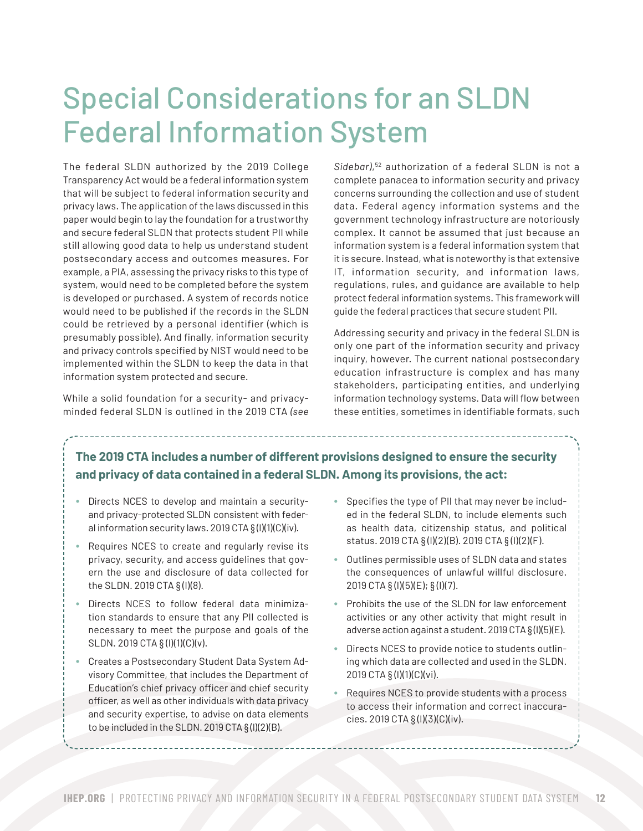## Special Considerations for an SLDN Federal Information System

The federal SLDN authorized by the 2019 College Transparency Act would be a federal information system that will be subject to federal information security and privacy laws. The application of the laws discussed in this paper would begin to lay the foundation for a trustworthy and secure federal SLDN that protects student PII while still allowing good data to help us understand student postsecondary access and outcomes measures. For example, a PIA, assessing the privacy risks to this type of system, would need to be completed before the system is developed or purchased. A system of records notice would need to be published if the records in the SLDN could be retrieved by a personal identifier (which is presumably possible). And finally, information security and privacy controls specified by NIST would need to be implemented within the SLDN to keep the data in that information system protected and secure.

While a solid foundation for a security- and privacyminded federal SLDN is outlined in the 2019 CTA *(see*  *Sidebar)*, 52 authorization of a federal SLDN is not a complete panacea to information security and privacy concerns surrounding the collection and use of student data. Federal agency information systems and the government technology infrastructure are notoriously complex. It cannot be assumed that just because an information system is a federal information system that it is secure. Instead, what is noteworthy is that extensive IT, information security, and information laws, regulations, rules, and guidance are available to help protect federal information systems. This framework will guide the federal practices that secure student PII.

Addressing security and privacy in the federal SLDN is only one part of the information security and privacy inquiry, however. The current national postsecondary education infrastructure is complex and has many stakeholders, participating entities, and underlying information technology systems. Data will flow between these entities, sometimes in identifiable formats, such

#### **The 2019 CTA includes a number of different provisions designed to ensure the security and privacy of data contained in a federal SLDN. Among its provisions, the act:**

- Directs NCES to develop and maintain a securityand privacy-protected SLDN consistent with federal information security laws. 2019 CTA § (l)(1)(C)(iv).
- Requires NCES to create and regularly revise its privacy, security, and access guidelines that govern the use and disclosure of data collected for the SLDN. 2019 CTA § (l)(8).
- Directs NCES to follow federal data minimization standards to ensure that any PII collected is necessary to meet the purpose and goals of the SLDN. 2019 CTA § (l)(1)(C)(v).
- Creates a Postsecondary Student Data System Advisory Committee, that includes the Department of Education's chief privacy officer and chief security officer, as well as other individuals with data privacy and security expertise, to advise on data elements to be included in the SLDN. 2019 CTA § (l)(2)(B).
- Specifies the type of PII that may never be included in the federal SLDN, to include elements such as health data, citizenship status, and political status. 2019 CTA § (l)(2)(B). 2019 CTA § (l)(2)(F).
- Outlines permissible uses of SLDN data and states the consequences of unlawful willful disclosure. 2019 CTA § (l)(5)(E); § (l)(7).
- Prohibits the use of the SLDN for law enforcement activities or any other activity that might result in adverse action against a student. 2019 CTA § (l)(5)(E).
- Directs NCES to provide notice to students outlining which data are collected and used in the SLDN. 2019 CTA § (l)(1)(C)(vi).
- Requires NCES to provide students with a process to access their information and correct inaccuracies. 2019 CTA § (l)(3)(C)(iv).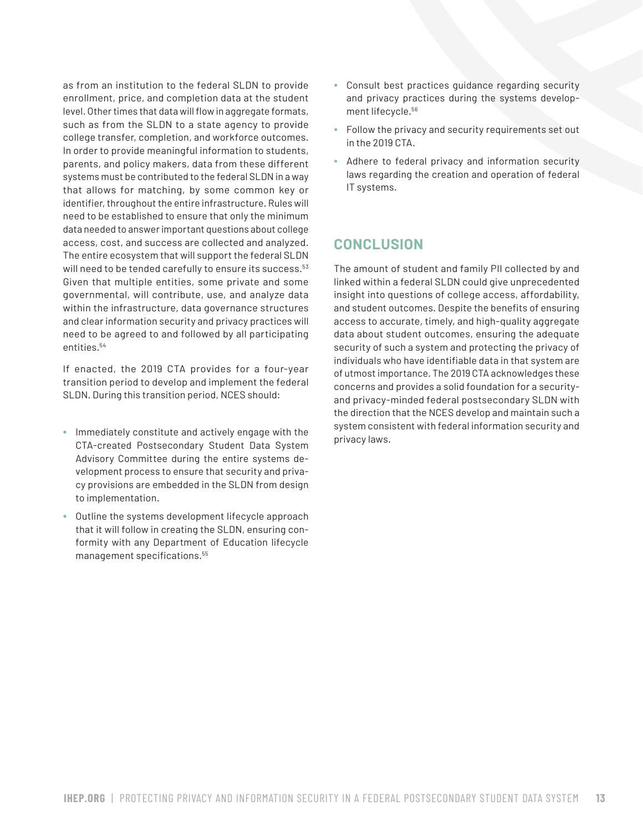as from an institution to the federal SLDN to provide enrollment, price, and completion data at the student level. Other times that data will flow in aggregate formats, such as from the SLDN to a state agency to provide college transfer, completion, and workforce outcomes. In order to provide meaningful information to students, parents, and policy makers, data from these different systems must be contributed to the federal SLDN in a way that allows for matching, by some common key or identifier, throughout the entire infrastructure. Rules will need to be established to ensure that only the minimum data needed to answer important questions about college access, cost, and success are collected and analyzed. The entire ecosystem that will support the federal SLDN will need to be tended carefully to ensure its success.<sup>53</sup> Given that multiple entities, some private and some governmental, will contribute, use, and analyze data within the infrastructure, data governance structures and clear information security and privacy practices will need to be agreed to and followed by all participating entities.54

If enacted, the 2019 CTA provides for a four-year transition period to develop and implement the federal SLDN. During this transition period, NCES should:

- Immediately constitute and actively engage with the CTA-created Postsecondary Student Data System Advisory Committee during the entire systems development process to ensure that security and privacy provisions are embedded in the SLDN from design to implementation.
- Outline the systems development lifecycle approach that it will follow in creating the SLDN, ensuring conformity with any Department of Education lifecycle management specifications.<sup>55</sup>
- Consult best practices guidance regarding security and privacy practices during the systems development lifecycle.56
- Follow the privacy and security requirements set out in the 2019 CTA.
- Adhere to federal privacy and information security laws regarding the creation and operation of federal IT systems.

#### **CONCLUSION**

The amount of student and family PII collected by and linked within a federal SLDN could give unprecedented insight into questions of college access, affordability, and student outcomes. Despite the benefits of ensuring access to accurate, timely, and high-quality aggregate data about student outcomes, ensuring the adequate security of such a system and protecting the privacy of individuals who have identifiable data in that system are of utmost importance. The 2019 CTA acknowledges these concerns and provides a solid foundation for a securityand privacy-minded federal postsecondary SLDN with the direction that the NCES develop and maintain such a system consistent with federal information security and privacy laws.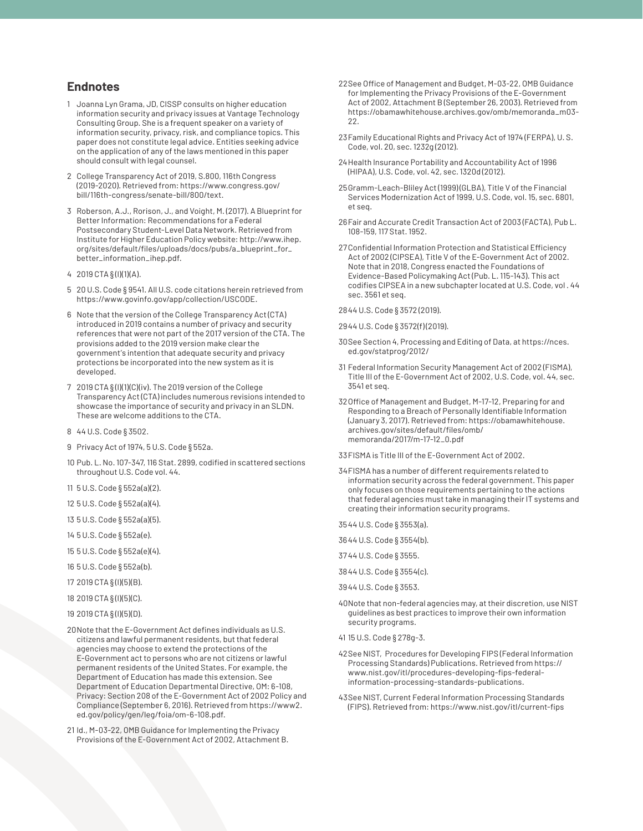#### **Endnotes**

- 1 Joanna Lyn Grama, JD, CISSP consults on higher education information security and privacy issues at Vantage Technology Consulting Group. She is a frequent speaker on a variety of information security, privacy, risk, and compliance topics. This paper does not constitute legal advice. Entities seeking advice on the application of any of the laws mentioned in this paper should consult with legal counsel.
- 2 College Transparency Act of 2019, S.800, 116th Congress (2019-2020). Retrieved from: https://www.congress.gov/ bill/116th-congress/senate-bill/800/text.
- 3 Roberson, A.J., Rorison, J., and Voight, M. (2017). A Blueprint for Better Information: Recommendations for a Federal Postsecondary Student-Level Data Network. Retrieved from Institute for Higher Education Policy website: http://www.ihep. org/sites/default/files/uploads/docs/pubs/a\_blueprint\_for\_ better\_information\_ihep.pdf.
- 4 2019 CTA § (l)(1)(A).
- 5 20 U.S. Code § 9541. All U.S. code citations herein retrieved from https://www.govinfo.gov/app/collection/USCODE.
- 6 Note that the version of the College Transparency Act (CTA) introduced in 2019 contains a number of privacy and security references that were not part of the 2017 version of the CTA. The provisions added to the 2019 version make clear the government's intention that adequate security and privacy protections be incorporated into the new system as it is developed.
- 7 2019 CTA § (l)(1)(C)(iv). The 2019 version of the College Transparency Act (CTA) includes numerous revisions intended to showcase the importance of security and privacy in an SLDN. These are welcome additions to the CTA.
- 8 44 U.S. Code § 3502.
- 9 Privacy Act of 1974, 5 U.S. Code § 552a.
- 10 Pub. L. No. 107-347, 116 Stat. 2899, codified in scattered sections throughout U.S. Code vol. 44.
- 11 5 U.S. Code § 552a(a)(2).
- 12 5 U.S. Code § 552a(a)(4).
- 13 5 U.S. Code § 552a(a)(5).
- 14 5 U.S. Code § 552a(e).
- 15 5 U.S. Code § 552a(e)(4).
- 16 5 U.S. Code § 552a(b).
- 17 2019 CTA § (l)(5)(B).
- 18 2019 CTA § (l)(5)(C).
- 19 2019 CTA § (l)(5)(D).
- 20Note that the E-Government Act defines individuals as U.S. citizens and lawful permanent residents, but that federal agencies may choose to extend the protections of the E-Government act to persons who are not citizens or lawful permanent residents of the United States. For example, the Department of Education has made this extension. See Department of Education Departmental Directive, OM: 6-108, Privacy: Section 208 of the E-Government Act of 2002 Policy and Compliance (September 6, 2016). Retrieved from https://www2. ed.gov/policy/gen/leg/foia/om-6-108.pdf.
- 21 Id., M-03-22, OMB Guidance for Implementing the Privacy Provisions of the E-Government Act of 2002, Attachment B.
- 22See Office of Management and Budget, M-03-22, OMB Guidance for Implementing the Privacy Provisions of the E-Government Act of 2002, Attachment B (September 26, 2003). Retrieved from https://obamawhitehouse.archives.gov/omb/memoranda\_m03- 22.
- 23Family Educational Rights and Privacy Act of 1974 (FERPA), U. S. Code, vol. 20, sec. 1232g (2012).
- 24Health Insurance Portability and Accountability Act of 1996 (HIPAA), U.S. Code, vol. 42, sec. 1320d (2012).
- 25Gramm-Leach-Bliley Act (1999) (GLBA), Title V of the Financial Services Modernization Act of 1999, U.S. Code, vol. 15, sec. 6801, et seq.
- 26Fair and Accurate Credit Transaction Act of 2003 (FACTA), Pub L. 108-159, 117 Stat. 1952.
- 27Confidential Information Protection and Statistical Efficiency Act of 2002 (CIPSEA), Title V of the E-Government Act of 2002. Note that in 2018, Congress enacted the Foundations of Evidence-Based Policymaking Act (Pub. L. 115-143). This act codifies CIPSEA in a new subchapter located at U.S. Code, vol . 44 sec. 3561 et seq.
- 2844 U.S. Code § 3572 (2019).
- 2944 U.S. Code § 3572(f) (2019).
- 30See Section 4, Processing and Editing of Data, at https://nces. ed.gov/statprog/2012/
- 31 Federal Information Security Management Act of 2002 (FISMA), Title III of the E-Government Act of 2002, U.S. Code, vol. 44, sec. 3541 et seq.
- 32Office of Management and Budget, M-17-12, Preparing for and Responding to a Breach of Personally Identifiable Information (January 3, 2017). Retrieved from: https://obamawhitehouse. archives.gov/sites/default/files/omb/ memoranda/2017/m-17-12\_0.pdf
- 33FISMA is Title III of the E-Government Act of 2002.
- 34FISMA has a number of different requirements related to information security across the federal government. This paper only focuses on those requirements pertaining to the actions that federal agencies must take in managing their IT systems and creating their information security programs.
- 3544 U.S. Code § 3553(a).
- 3644 U.S. Code § 3554(b).
- 37 44 U.S. Code § 3555.
- 3844 U.S. Code § 3554(c).
- 3944 U.S. Code § 3553.
- 40Note that non-federal agencies may, at their discretion, use NIST guidelines as best practices to improve their own information security programs.
- 41 15 U.S. Code § 278g-3.
- 42See NIST, Procedures for Developing FIPS (Federal Information Processing Standards) Publications. Retrieved from https:// www.nist.gov/itl/procedures-developing-fips-federalinformation-processing-standards-publications.
- 43See NIST, Current Federal Information Processing Standards (FIPS). Retrieved from: https://www.nist.gov/itl/current-fips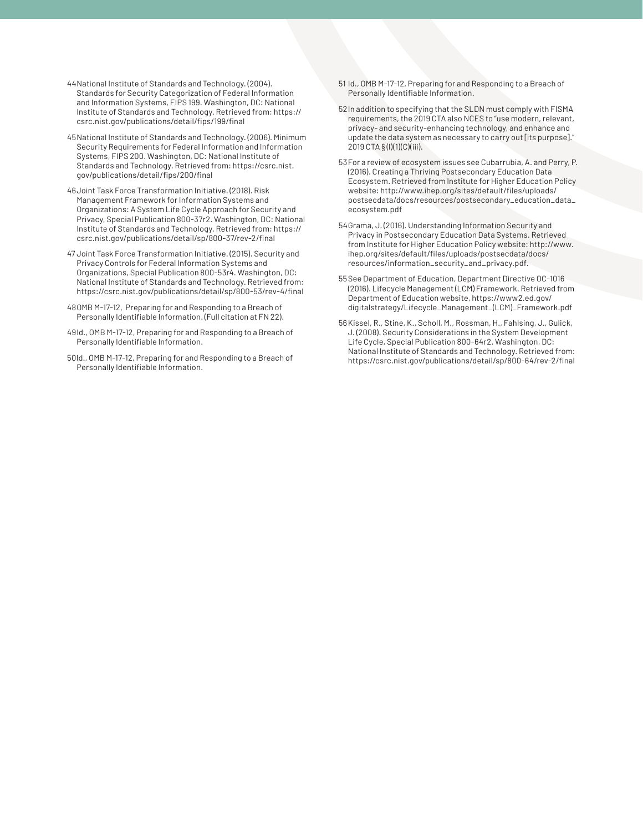- 44National Institute of Standards and Technology. (2004). Standards for Security Categorization of Federal Information and Information Systems, FIPS 199. Washington, DC: National Institute of Standards and Technology. Retrieved from: https:// csrc.nist.gov/publications/detail/fips/199/final
- 45National Institute of Standards and Technology. (2006). Minimum Security Requirements for Federal Information and Information Systems, FIPS 200. Washington, DC: National Institute of Standards and Technology. Retrieved from: https://csrc.nist. gov/publications/detail/fips/200/final
- 46Joint Task Force Transformation Initiative. (2018). Risk Management Framework for Information Systems and Organizations: A System Life Cycle Approach for Security and Privacy, Special Publication 800-37r2. Washington, DC: National Institute of Standards and Technology. Retrieved from: https:// csrc.nist.gov/publications/detail/sp/800-37/rev-2/final
- 47 Joint Task Force Transformation Initiative. (2015). Security and Privacy Controls for Federal Information Systems and Organizations, Special Publication 800-53r4. Washington, DC: National Institute of Standards and Technology. Retrieved from: https://csrc.nist.gov/publications/detail/sp/800-53/rev-4/final
- 48OMB M-17-12, Preparing for and Responding to a Breach of Personally Identifiable Information. (Full citation at FN 22).
- 49Id., OMB M-17-12, Preparing for and Responding to a Breach of Personally Identifiable Information.
- 50Id., OMB M-17-12, Preparing for and Responding to a Breach of Personally Identifiable Information.
- 51 Id., OMB M-17-12, Preparing for and Responding to a Breach of Personally Identifiable Information.
- 52In addition to specifying that the SLDN must comply with FISMA requirements, the 2019 CTA also NCES to "use modern, relevant, privacy- and security-enhancing technology, and enhance and update the data system as necessary to carry out [its purpose]." 2019 CTA § (l)(1)(C)(iii).
- 53For a review of ecosystem issues see Cubarrubia, A. and Perry, P. (2016). Creating a Thriving Postsecondary Education Data Ecosystem. Retrieved from Institute for Higher Education Policy website: http://www.ihep.org/sites/default/files/uploads/ postsecdata/docs/resources/postsecondary\_education\_data\_ ecosystem.pdf
- 54Grama, J. (2016). Understanding Information Security and Privacy in Postsecondary Education Data Systems. Retrieved from Institute for Higher Education Policy website: http://www. ihep.org/sites/default/files/uploads/postsecdata/docs/ resources/information\_security\_and\_privacy.pdf.
- 55See Department of Education, Department Directive OC-1016 (2016). Lifecycle Management (LCM) Framework. Retrieved from Department of Education website, https://www2.ed.gov/ digitalstrategy/Lifecycle\_Management\_(LCM)\_Framework.pdf
- 56Kissel, R., Stine, K., Scholl, M., Rossman, H., Fahlsing, J., Gulick, J. (2008). Security Considerations in the System Development Life Cycle, Special Publication 800-64r2. Washington, DC: National Institute of Standards and Technology. Retrieved from: https://csrc.nist.gov/publications/detail/sp/800-64/rev-2/final